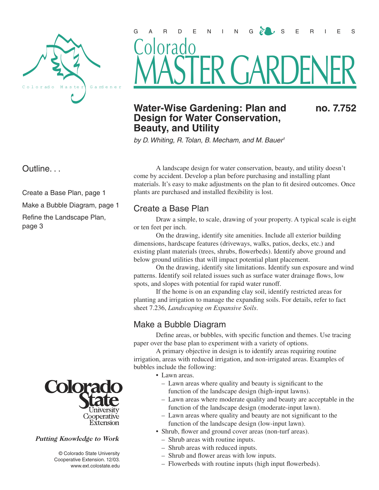

# GARDENING  $\mathcal{C} \cup S$  eries FR GAR Colorado

## Water-Wise Gardening: Plan and no. 7.752 **Design for Water Conservation, Beauty, and Utility**

by D. Whiting, R. Tolan, B. Mecham, and M. Bauer<sup>1</sup>

Outline. . .

Create a Base Plan, page 1

Make a Bubble Diagram, page 1

Refine the Landscape Plan, page 3



#### Putting Knowledge to Work

 © Colorado State University Cooperative Extension. 12/03. www.ext.colostate.edu

A landscape design for water conservation, beauty, and utility doesn't come by accident. Develop a plan before purchasing and installing plant materials. It's easy to make adjustments on the plan to fit desired outcomes. Once plants are purchased and installed flexibility is lost.

### Create a Base Plan

Draw a simple, to scale, drawing of your property. A typical scale is eight or ten feet per inch.

On the drawing, identify site amenities. Include all exterior building dimensions, hardscape features (driveways, walks, patios, decks, etc.) and existing plant materials (trees, shrubs, flowerbeds). Identify above ground and below ground utilities that will impact potential plant placement.

On the drawing, identify site limitations. Identify sun exposure and wind patterns. Identify soil related issues such as surface water drainage flows, low spots, and slopes with potential for rapid water runoff.

If the home is on an expanding clay soil, identify restricted areas for planting and irrigation to manage the expanding soils. For details, refer to fact sheet 7.236, *Landscaping on Expansive Soils*.

## Make a Bubble Diagram

Define areas, or bubbles, with specific function and themes. Use tracing paper over the base plan to experiment with a variety of options.

A primary objective in design is to identify areas requiring routine irrigation, areas with reduced irrigation, and non-irrigated areas. Examples of bubbles include the following:

- Lawn areas.
	- Lawn areas where quality and beauty is significant to the function of the landscape design (high-input lawns).
	- Lawn areas where moderate quality and beauty are acceptable in the function of the landscape design (moderate-input lawn).
	- Lawn areas where quality and beauty are not significant to the function of the landscape design (low-input lawn).
- Shrub, flower and ground cover areas (non-turf areas).
	- Shrub areas with routine inputs.
	- Shrub areas with reduced inputs.
	- Shrub and flower areas with low inputs.
	- Flowerbeds with routine inputs (high input flowerbeds).